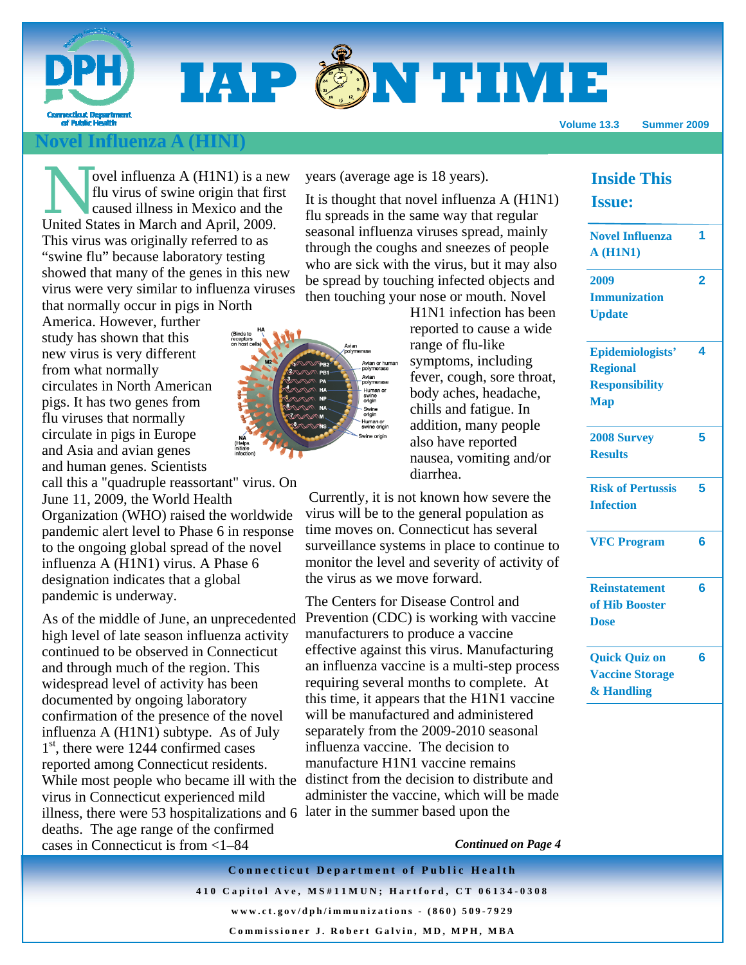# **IAP @N TIME**

**Volume 13.3 Summer 2009** 

## **Influenza A (HINI)**

ovel influenza  $A$  (H1N1) is a new flu virus of swine origin that first caused illness in Mexico and the United States in March and April, 2009. This virus was originally referred to as "swine flu" because laboratory testing showed that many of the genes in this new virus were very similar to influenza viruses that normally occur in pigs in North

America. However, further study has shown that this new virus is very different from what normally circulates in North American pigs. It has two genes from flu viruses that normally circulate in pigs in Europe and Asia and avian genes and human genes. Scientists

call this a "quadruple reassortant" virus. On June 11, 2009, the World Health Organization (WHO) raised the worldwide pandemic alert level to Phase 6 in response to the ongoing global spread of the novel influenza A (H1N1) virus. A Phase 6 designation indicates that a global pandemic is underway.

As of the middle of June, an unprecedented high level of late season influenza activity continued to be observed in Connecticut and through much of the region. This widespread level of activity has been documented by ongoing laboratory confirmation of the presence of the novel influenza A (H1N1) subtype. As of July  $1<sup>st</sup>$ , there were 1244 confirmed cases reported among Connecticut residents. While most people who became ill with the virus in Connecticut experienced mild illness, there were 53 hospitalizations and 6 later in the summer based upon the deaths. The age range of the confirmed cases in Connecticut is from <1–84

years (average age is 18 years).

It is thought that novel influenza A (H1N1) flu spreads in the same way that regular seasonal influenza viruses spread, mainly through the coughs and sneezes of people who are sick with the virus, but it may also be spread by touching infected objects and then touching your nose or mouth. Novel



H1N1 infection has been reported to cause a wide range of flu-like symptoms, including fever, cough, sore throat, body aches, headache, chills and fatigue. In addition, many people also have reported nausea, vomiting and/or diarrhea.

 Currently, it is not known how severe the virus will be to the general population as time moves on. Connecticut has several surveillance systems in place to continue to monitor the level and severity of activity of the virus as we move forward.

The Centers for Disease Control and Prevention (CDC) is working with vaccine manufacturers to produce a vaccine effective against this virus. Manufacturing an influenza vaccine is a multi-step process requiring several months to complete. At this time, it appears that the H1N1 vaccine will be manufactured and administered separately from the 2009-2010 seasonal influenza vaccine. The decision to manufacture H1N1 vaccine remains distinct from the decision to distribute and administer the vaccine, which will be made

*Continued on Page 4* 

**Connecticut Department of Public Health 410 Capitol Ave, MS#11MUN; Hartford, CT 06134-0308 www.ct.gov/dph/immunizations - (860) 509-7929 Commissioner J. Robert Galvin, MD, MPH, MBA** 

## **Inside This Issue:**

| <b>Novel Influenza</b><br><b>A</b> (H1N1)                                  | 1 |
|----------------------------------------------------------------------------|---|
| 2009<br><b>Immunization</b><br><b>Update</b>                               | 2 |
| Epidemiologists'<br><b>Regional</b><br><b>Responsibility</b><br><b>Map</b> | 4 |
| <b>2008 Survey</b><br><b>Results</b>                                       | 5 |
| <b>Risk of Pertussis</b><br><b>Infection</b>                               | 5 |
| <b>VFC Program</b>                                                         | 6 |
| <b>Reinstatement</b><br>of Hib Booster<br><b>Dose</b>                      | 6 |
| <b>Quick Quiz on</b><br><b>Vaccine Storage</b><br>& Handling               | 6 |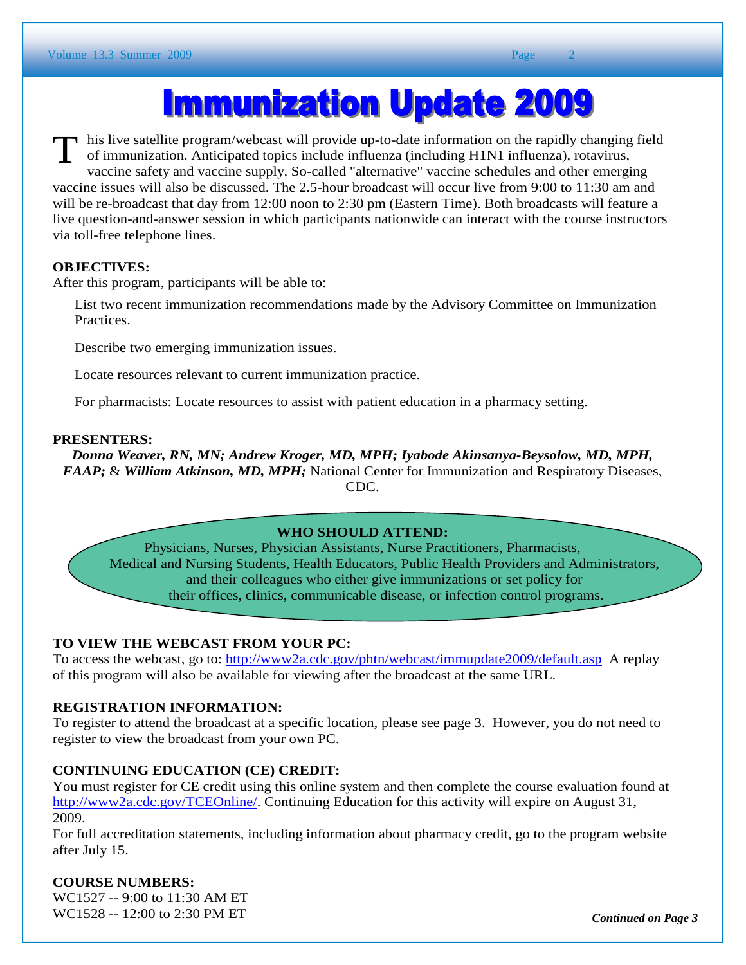## **Immunization Update 2009**

his live satellite program/webcast will provide up-to-date information on the rapidly changing field<br>of immunization. Anticipated topics include influenza (including H1N1 influenza), rotavirus,<br>webcaster and vecesing surpl of immunization. Anticipated topics include influenza (including H1N1 influenza), rotavirus, vaccine safety and vaccine supply. So-called "alternative" vaccine schedules and other emerging vaccine issues will also be discussed. The 2.5-hour broadcast will occur live from 9:00 to 11:30 am and will be re-broadcast that day from 12:00 noon to 2:30 pm (Eastern Time). Both broadcasts will feature a live question-and-answer session in which participants nationwide can interact with the course instructors via toll-free telephone lines.

## **OBJECTIVES:**

After this program, participants will be able to:

List two recent immunization recommendations made by the Advisory Committee on Immunization Practices.

Describe two emerging immunization issues.

Locate resources relevant to current immunization practice.

For pharmacists: Locate resources to assist with patient education in a pharmacy setting.

### **PRESENTERS:**

*Donna Weaver, RN, MN; Andrew Kroger, MD, MPH; Iyabode Akinsanya-Beysolow, MD, MPH, FAAP;* & *William Atkinson, MD, MPH;* National Center for Immunization and Respiratory Diseases, CDC.

## **WHO SHOULD ATTEND:**

Physicians, Nurses, Physician Assistants, Nurse Practitioners, Pharmacists, Medical and Nursing Students, Health Educators, Public Health Providers and Administrators, and their colleagues who either give immunizations or set policy for their offices, clinics, communicable disease, or infection control programs.

### **TO VIEW THE WEBCAST FROM YOUR PC:**

To access the webcast, go to: http://www2a.cdc.gov/phtn/webcast/immupdate2009/default.asp A replay of this program will also be available for viewing after the broadcast at the same URL.

## **REGISTRATION INFORMATION:**

To register to attend the broadcast at a specific location, please see page 3. However, you do not need to register to view the broadcast from your own PC.

## **CONTINUING EDUCATION (CE) CREDIT:**

You must register for CE credit using this online system and then complete the course evaluation found at http://www2a.cdc.gov/TCEOnline/. Continuing Education for this activity will expire on August 31, 2009.

For full accreditation statements, including information about pharmacy credit, go to the program website after July 15.

## **COURSE NUMBERS:**

WC1527 -- 9:00 to 11:30 AM ET WC1528 -- 12:00 to 2:30 PM ET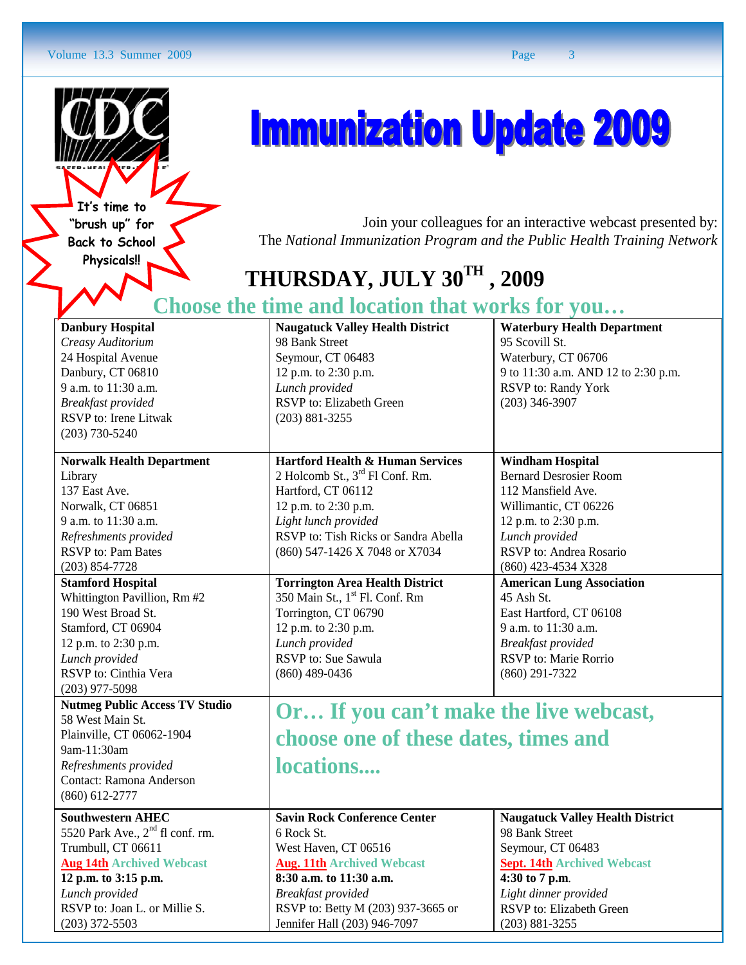#### Volume 13.3 Summer 2009 Page 3



l **It's time to "brush up" for Back to School Physicals!!** 

## **Immunization Update 2009**

 Join your colleagues for an interactive webcast presented by: The *National Immunization Program and the Public Health Training Network* 

## **THURSDAY, JULY 30TH , 2009**

## **Choose the time and location that works for you…**

| <b>Danbury Hospital</b>                      | <b>Naugatuck Valley Health District</b>     | <b>Waterbury Health Department</b>      |
|----------------------------------------------|---------------------------------------------|-----------------------------------------|
| Creasy Auditorium                            | 98 Bank Street                              | 95 Scovill St.                          |
| 24 Hospital Avenue                           | Seymour, CT 06483                           | Waterbury, CT 06706                     |
| Danbury, CT 06810                            | 12 p.m. to 2:30 p.m.                        | 9 to 11:30 a.m. AND 12 to 2:30 p.m.     |
| 9 a.m. to 11:30 a.m.                         | Lunch provided                              | RSVP to: Randy York                     |
| <b>Breakfast</b> provided                    | RSVP to: Elizabeth Green                    | $(203)$ 346-3907                        |
| RSVP to: Irene Litwak                        | $(203) 881 - 3255$                          |                                         |
| $(203) 730 - 5240$                           |                                             |                                         |
|                                              |                                             |                                         |
| <b>Norwalk Health Department</b>             | <b>Hartford Health &amp; Human Services</b> | <b>Windham Hospital</b>                 |
| Library                                      | 2 Holcomb St., 3 <sup>rd</sup> Fl Conf. Rm. | <b>Bernard Desrosier Room</b>           |
| 137 East Ave.                                | Hartford, CT 06112                          | 112 Mansfield Ave.                      |
| Norwalk, CT 06851                            | 12 p.m. to 2:30 p.m.                        | Willimantic, CT 06226                   |
| 9 a.m. to 11:30 a.m.                         | Light lunch provided                        | 12 p.m. to 2:30 p.m.                    |
| Refreshments provided                        | RSVP to: Tish Ricks or Sandra Abella        | Lunch provided                          |
| <b>RSVP</b> to: Pam Bates                    | (860) 547-1426 X 7048 or X7034              | RSVP to: Andrea Rosario                 |
| $(203) 854 - 7728$                           |                                             | (860) 423-4534 X328                     |
| <b>Stamford Hospital</b>                     | <b>Torrington Area Health District</b>      | <b>American Lung Association</b>        |
| Whittington Pavillion, Rm #2                 | 350 Main St., 1 <sup>st</sup> Fl. Conf. Rm  | 45 Ash St.                              |
| 190 West Broad St.                           | Torrington, CT 06790                        | East Hartford, CT 06108                 |
| Stamford, CT 06904                           | 12 p.m. to 2:30 p.m.                        | 9 a.m. to 11:30 a.m.                    |
| 12 p.m. to 2:30 p.m.                         | Lunch provided                              | <b>Breakfast</b> provided               |
| Lunch provided                               | RSVP to: Sue Sawula                         | RSVP to: Marie Rorrio                   |
| RSVP to: Cinthia Vera                        | $(860)$ 489-0436                            | $(860)$ 291-7322                        |
| $(203)$ 977-5098                             |                                             |                                         |
| <b>Nutmeg Public Access TV Studio</b>        | Or If you can't make the live webcast,      |                                         |
| 58 West Main St.                             |                                             |                                         |
| Plainville, CT 06062-1904                    | choose one of these dates, times and        |                                         |
| 9am-11:30am                                  |                                             |                                         |
| Refreshments provided                        | locations                                   |                                         |
| Contact: Ramona Anderson                     |                                             |                                         |
| $(860) 612 - 2777$                           |                                             |                                         |
| <b>Southwestern AHEC</b>                     | <b>Savin Rock Conference Center</b>         | <b>Naugatuck Valley Health District</b> |
| 5520 Park Ave., 2 <sup>nd</sup> fl conf. rm. | 6 Rock St.                                  | 98 Bank Street                          |
| Trumbull, CT 06611                           | West Haven, CT 06516                        | Seymour, CT 06483                       |
| <b>Aug 14th Archived Webcast</b>             | <b>Aug. 11th Archived Webcast</b>           | <b>Sept. 14th Archived Webcast</b>      |
| 12 p.m. to 3:15 p.m.                         | 8:30 a.m. to 11:30 a.m.                     | 4:30 to 7 p.m.                          |
| Lunch provided                               | <b>Breakfast</b> provided                   | Light dinner provided                   |
| RSVP to: Joan L. or Millie S.                | RSVP to: Betty M (203) 937-3665 or          | RSVP to: Elizabeth Green                |
| $(203)$ 372-5503                             | Jennifer Hall (203) 946-7097                | $(203) 881 - 3255$                      |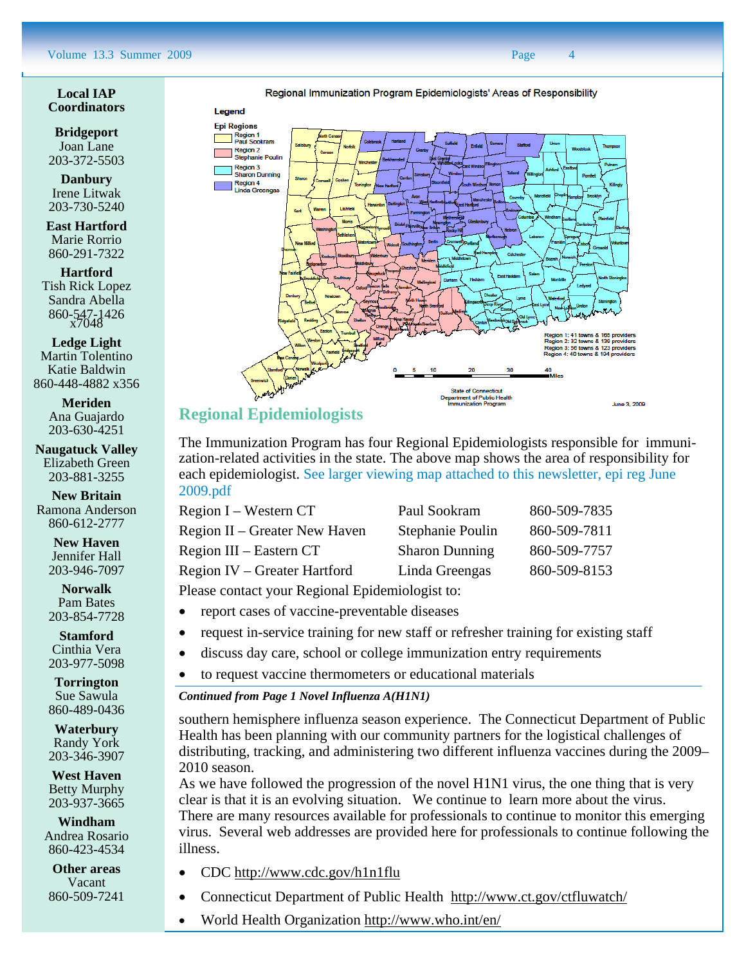Regional Immunization Program Epidemiologists' Areas of Responsibility

#### **Local IAP Coordinators**

**Bridgeport**  Joan Lane 203-372-5503

**Danbury**  Irene Litwak 203-730-5240

**East Hartford**  Marie Rorrio 860-291-7322

**Hartford**  Tish Rick Lopez Sandra Abella 860-547-1426 x7048

**Ledge Light**  Martin Tolentino Katie Baldwin 860-448-4882 x356

> **Meriden**  Ana Guajardo 203-630-4251

**Naugatuck Valley**  Elizabeth Green 203-881-3255

**New Britain**  Ramona Anderson 860-612-2777

> **New Haven**  Jennifer Hall 203-946-7097

> **Norwalk**  Pam Bates 203-854-7728

> **Stamford**  Cinthia Vera 203-977-5098

**Torrington**  Sue Sawula 860-489-0436

**Waterbury**  Randy York 203-346-3907

**West Haven**  Betty Murphy 203-937-3665

**Windham**  Andrea Rosario 860-423-4534

**Other areas**  Vacant 860-509-7241



## **Regional Epidemiologists**

The Immunization Program has four Regional Epidemiologists responsible for immunization-related activities in the state. The above map shows the area of responsibility for each epidemiologist. See larger viewing map attached to this newsletter, epi reg June 2009.pdf

| Region I – Western CT               | Paul Sookram          | 860-509-7835 |
|-------------------------------------|-----------------------|--------------|
| Region II – Greater New Haven       | Stephanie Poulin      | 860-509-7811 |
| Region III – Eastern CT             | <b>Sharon Dunning</b> | 860-509-7757 |
| <b>Region IV</b> – Greater Hartford | Linda Greengas        | 860-509-8153 |
|                                     |                       |              |

Please contact your Regional Epidemiologist to:

- report cases of vaccine-preventable diseases
- request in-service training for new staff or refresher training for existing staff
- discuss day care, school or college immunization entry requirements
- to request vaccine thermometers or educational materials

#### *Continued from Page 1 Novel Influenza A(H1N1)*

southern hemisphere influenza season experience. The Connecticut Department of Public Health has been planning with our community partners for the logistical challenges of distributing, tracking, and administering two different influenza vaccines during the 2009– 2010 season.

As we have followed the progression of the novel H1N1 virus, the one thing that is very clear is that it is an evolving situation. We continue to learn more about the virus. There are many resources available for professionals to continue to monitor this emerging virus. Several web addresses are provided here for professionals to continue following the illness.

- CDC http://www.cdc.gov/h1n1flu
- Connecticut Department of Public Health http://www.ct.gov/ctfluwatch/
- World Health Organization http://www.who.int/en/

Legend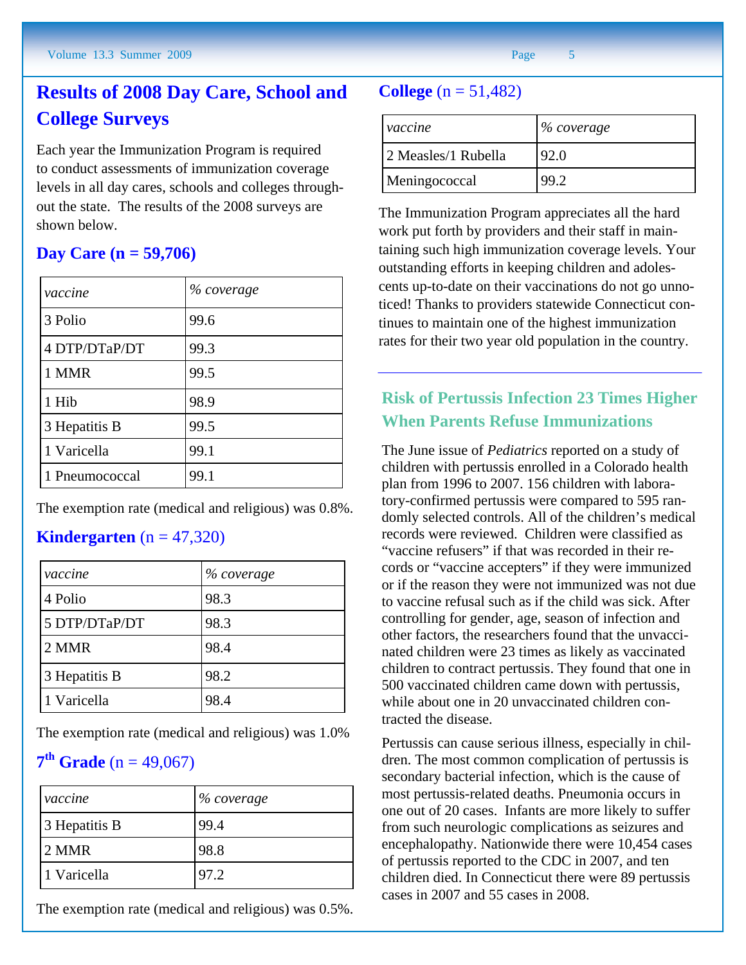## **Results of 2008 Day Care, School and College Surveys**

Each year the Immunization Program is required to conduct assessments of immunization coverage levels in all day cares, schools and colleges throughout the state. The results of the 2008 surveys are shown below.

## **Day Care (n = 59,706)**

| vaccine        | % coverage |
|----------------|------------|
| 3 Polio        | 99.6       |
| 4 DTP/DTaP/DT  | 99.3       |
| 1 MMR          | 99.5       |
| 1 Hib          | 98.9       |
| 3 Hepatitis B  | 99.5       |
| 1 Varicella    | 99.1       |
| 1 Pneumococcal | 99.1       |

The exemption rate (medical and religious) was 0.8%.

## **Kindergarten**  $(n = 47,320)$

| vaccine       | % coverage |
|---------------|------------|
| 4 Polio       | 98.3       |
| 5 DTP/DTaP/DT | 98.3       |
| 2 MMR         | 98.4       |
| 3 Hepatitis B | 98.2       |
| 1 Varicella   | 98.4       |

The exemption rate (medical and religious) was 1.0%

## **7<sup>th</sup> Grade** (n = 49,067)

| vaccine       | % coverage |
|---------------|------------|
| 3 Hepatitis B | 99.4       |
| 2 MMR         | 98.8       |
| 1 Varicella   | 97.2       |

The exemption rate (medical and religious) was 0.5%.

## **College**  $(n = 51,482)$

| vaccine             | $%$ coverage |
|---------------------|--------------|
| 2 Measles/1 Rubella | 92.0         |
| Meningococcal       | 99.2         |

The Immunization Program appreciates all the hard work put forth by providers and their staff in maintaining such high immunization coverage levels. Your outstanding efforts in keeping children and adolescents up-to-date on their vaccinations do not go unnoticed! Thanks to providers statewide Connecticut continues to maintain one of the highest immunization rates for their two year old population in the country.

## **Risk of Pertussis Infection 23 Times Higher When Parents Refuse Immunizations**

The June issue of *Pediatrics* reported on a study of children with pertussis enrolled in a Colorado health plan from 1996 to 2007. 156 children with laboratory-confirmed pertussis were compared to 595 randomly selected controls. All of the children's medical records were reviewed. Children were classified as "vaccine refusers" if that was recorded in their records or "vaccine accepters" if they were immunized or if the reason they were not immunized was not due to vaccine refusal such as if the child was sick. After controlling for gender, age, season of infection and other factors, the researchers found that the unvaccinated children were 23 times as likely as vaccinated children to contract pertussis. They found that one in 500 vaccinated children came down with pertussis, while about one in 20 unvaccinated children contracted the disease.

Pertussis can cause serious illness, especially in children. The most common complication of pertussis is secondary bacterial infection, which is the cause of most pertussis-related deaths. Pneumonia occurs in one out of 20 cases. Infants are more likely to suffer from such neurologic complications as seizures and encephalopathy. Nationwide there were 10,454 cases of pertussis reported to the CDC in 2007, and ten children died. In Connecticut there were 89 pertussis cases in 2007 and 55 cases in 2008.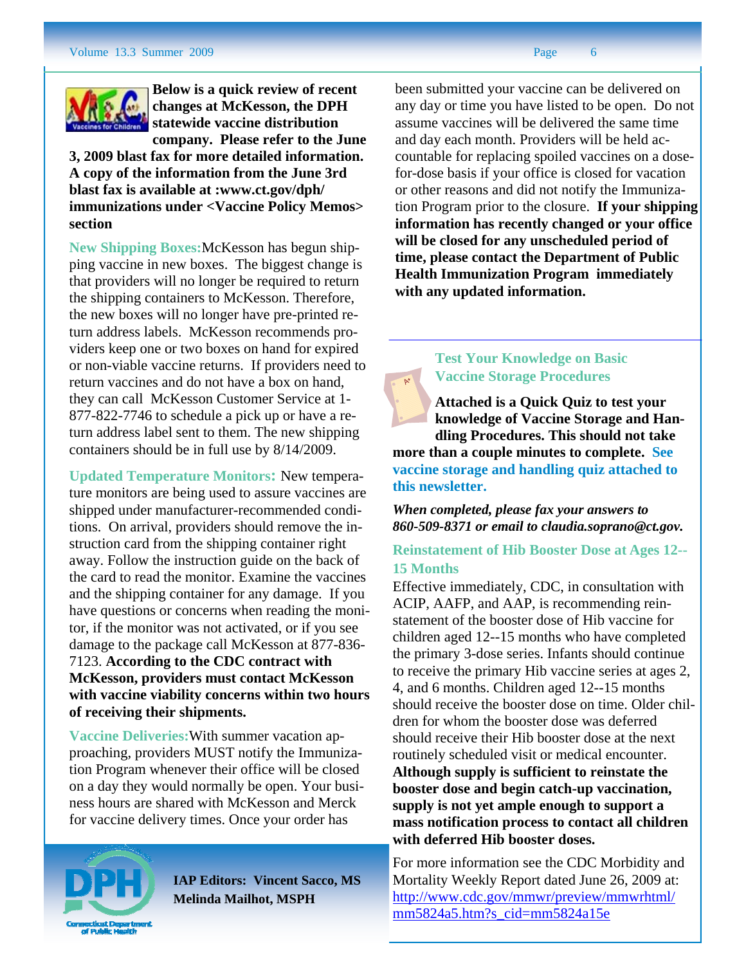

 **statewide vaccine distribution Below is a quick review of recent changes at McKesson, the DPH company. Please refer to the June** 

**3, 2009 blast fax for more detailed information. A copy of the information from the June 3rd blast fax is available at :www.ct.gov/dph/ immunizations under <Vaccine Policy Memos> section**

**New Shipping Boxes:**McKesson has begun shipping vaccine in new boxes. The biggest change is that providers will no longer be required to return the shipping containers to McKesson. Therefore, the new boxes will no longer have pre-printed return address labels. McKesson recommends providers keep one or two boxes on hand for expired or non-viable vaccine returns. If providers need to return vaccines and do not have a box on hand, they can call McKesson Customer Service at 1- 877-822-7746 to schedule a pick up or have a return address label sent to them. The new shipping containers should be in full use by 8/14/2009.

**Updated Temperature Monitors:** New temperature monitors are being used to assure vaccines are shipped under manufacturer-recommended conditions. On arrival, providers should remove the instruction card from the shipping container right away. Follow the instruction guide on the back of the card to read the monitor. Examine the vaccines and the shipping container for any damage. If you have questions or concerns when reading the monitor, if the monitor was not activated, or if you see damage to the package call McKesson at 877-836- 7123. **According to the CDC contract with McKesson, providers must contact McKesson with vaccine viability concerns within two hours of receiving their shipments.** 

**Vaccine Deliveries:**With summer vacation approaching, providers MUST notify the Immunization Program whenever their office will be closed on a day they would normally be open. Your business hours are shared with McKesson and Merck for vaccine delivery times. Once your order has

been submitted your vaccine can be delivered on any day or time you have listed to be open. Do not assume vaccines will be delivered the same time and day each month. Providers will be held accountable for replacing spoiled vaccines on a dosefor-dose basis if your office is closed for vacation or other reasons and did not notify the Immunization Program prior to the closure. **If your shipping information has recently changed or your office will be closed for any unscheduled period of time, please contact the Department of Public Health Immunization Program immediately** 

> **Test Your Knowledge on Basic Vaccine Storage Procedures**

**with any updated information.**

**Attached is a Quick Quiz to test your knowledge of Vaccine Storage and Handling Procedures. This should not take more than a couple minutes to complete. See vaccine storage and handling quiz attached to this newsletter.**

*When completed, please fax your answers to 860-509-8371 or email to claudia.soprano@ct.gov.* 

**Reinstatement of Hib Booster Dose at Ages 12-- 15 Months** 

Effective immediately, CDC, in consultation with ACIP, AAFP, and AAP, is recommending reinstatement of the booster dose of Hib vaccine for children aged 12--15 months who have completed the primary 3-dose series. Infants should continue to receive the primary Hib vaccine series at ages 2, 4, and 6 months. Children aged 12--15 months should receive the booster dose on time. Older children for whom the booster dose was deferred should receive their Hib booster dose at the next routinely scheduled visit or medical encounter. **Although supply is sufficient to reinstate the booster dose and begin catch-up vaccination, supply is not yet ample enough to support a mass notification process to contact all children with deferred Hib booster doses.**

For more information see the CDC Morbidity and Mortality Weekly Report dated June 26, 2009 at: http://www.cdc.gov/mmwr/preview/mmwrhtml/ mm5824a5.htm?s\_cid=mm5824a15e



**IAP Editors: Vincent Sacco, MS Melinda Mailhot, MSPH**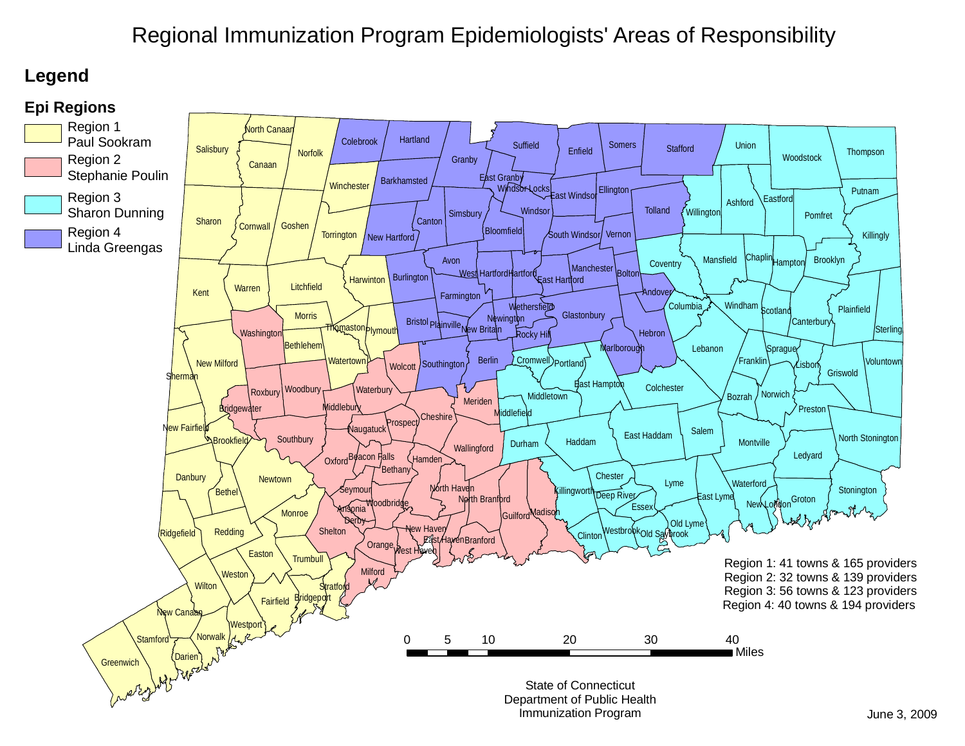## Regional Immunization Program Epidemiologists' Areas of Responsibility

## **Legend**